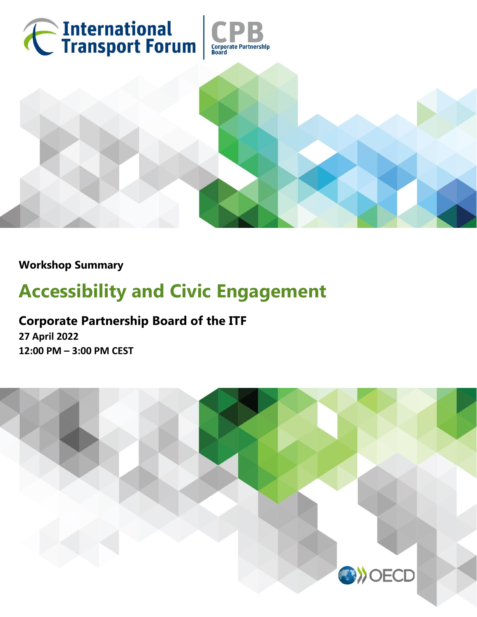

**Workshop Summary** 

# **Accessibility and Civic Engagement**

# **Corporate Partnership Board of the ITF**

**27 April 2022 12:00 PM – 3:00 PM CEST**

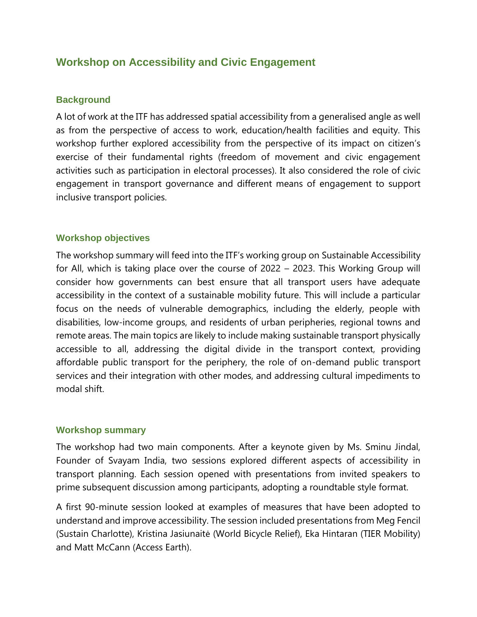# **Workshop on Accessibility and Civic Engagement**

#### **Background**

A lot of work at the ITF has addressed spatial accessibility from a generalised angle as well as from the perspective of access to work, education/health facilities and equity. This workshop further explored accessibility from the perspective of its impact on citizen's exercise of their fundamental rights (freedom of movement and civic engagement activities such as participation in electoral processes). It also considered the role of civic engagement in transport governance and different means of engagement to support inclusive transport policies.

#### **Workshop objectives**

The workshop summary will feed into the ITF's working group on Sustainable Accessibility for All, which is taking place over the course of 2022 – 2023. This Working Group will consider how governments can best ensure that all transport users have adequate accessibility in the context of a sustainable mobility future. This will include a particular focus on the needs of vulnerable demographics, including the elderly, people with disabilities, low-income groups, and residents of urban peripheries, regional towns and remote areas. The main topics are likely to include making sustainable transport physically accessible to all, addressing the digital divide in the transport context, providing affordable public transport for the periphery, the role of on-demand public transport services and their integration with other modes, and addressing cultural impediments to modal shift.

#### **Workshop summary**

The workshop had two main components. After a keynote given by Ms. Sminu Jindal, Founder of Svayam India, two sessions explored different aspects of accessibility in transport planning. Each session opened with presentations from invited speakers to prime subsequent discussion among participants, adopting a roundtable style format.

A first 90-minute session looked at examples of measures that have been adopted to understand and improve accessibility. The session included presentations from Meg Fencil (Sustain Charlotte), Kristina Jasiunaitė (World Bicycle Relief), Eka Hintaran (TIER Mobility) and Matt McCann (Access Earth).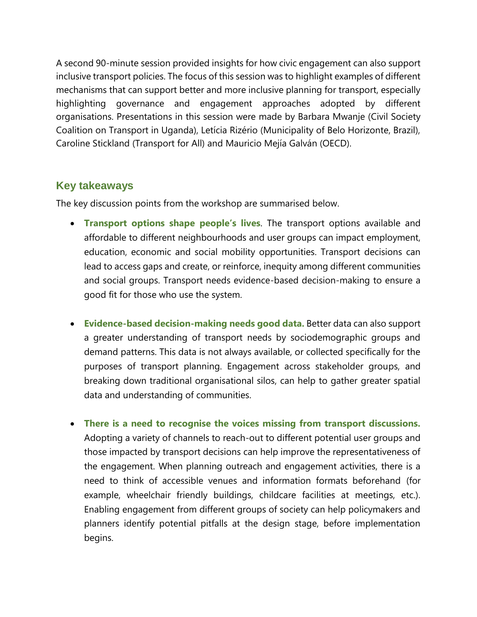A second 90-minute session provided insights for how civic engagement can also support inclusive transport policies. The focus of this session was to highlight examples of different mechanisms that can support better and more inclusive planning for transport, especially highlighting governance and engagement approaches adopted by different organisations. Presentations in this session were made by Barbara Mwanje (Civil Society Coalition on Transport in Uganda), Letícia Rizério (Municipality of Belo Horizonte, Brazil), Caroline Stickland (Transport for All) and Mauricio Mejía Galván (OECD).

## **Key takeaways**

The key discussion points from the workshop are summarised below.

- **Transport options shape people's lives**. The transport options available and affordable to different neighbourhoods and user groups can impact employment, education, economic and social mobility opportunities. Transport decisions can lead to access gaps and create, or reinforce, inequity among different communities and social groups. Transport needs evidence-based decision-making to ensure a good fit for those who use the system.
- **Evidence-based decision-making needs good data.** Better data can also support a greater understanding of transport needs by sociodemographic groups and demand patterns. This data is not always available, or collected specifically for the purposes of transport planning. Engagement across stakeholder groups, and breaking down traditional organisational silos, can help to gather greater spatial data and understanding of communities.
- **There is a need to recognise the voices missing from transport discussions.**  Adopting a variety of channels to reach-out to different potential user groups and those impacted by transport decisions can help improve the representativeness of the engagement. When planning outreach and engagement activities, there is a need to think of accessible venues and information formats beforehand (for example, wheelchair friendly buildings, childcare facilities at meetings, etc.). Enabling engagement from different groups of society can help policymakers and planners identify potential pitfalls at the design stage, before implementation begins.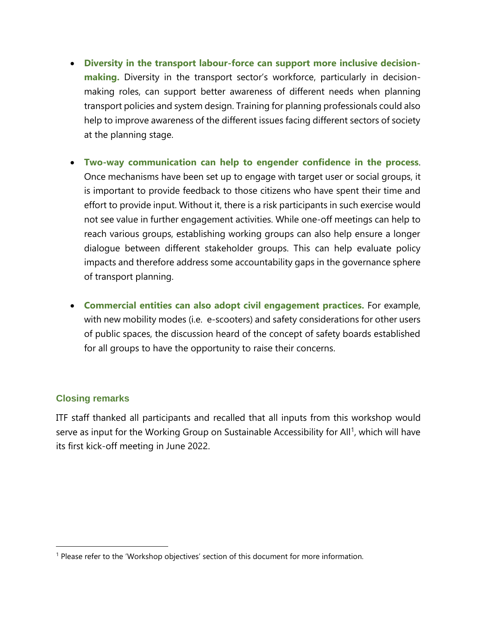- **Diversity in the transport labour-force can support more inclusive decisionmaking.** Diversity in the transport sector's workforce, particularly in decisionmaking roles, can support better awareness of different needs when planning transport policies and system design. Training for planning professionals could also help to improve awareness of the different issues facing different sectors of society at the planning stage.
- **Two-way communication can help to engender confidence in the process**. Once mechanisms have been set up to engage with target user or social groups, it is important to provide feedback to those citizens who have spent their time and effort to provide input. Without it, there is a risk participants in such exercise would not see value in further engagement activities. While one-off meetings can help to reach various groups, establishing working groups can also help ensure a longer dialogue between different stakeholder groups. This can help evaluate policy impacts and therefore address some accountability gaps in the governance sphere of transport planning.
- **Commercial entities can also adopt civil engagement practices.** For example, with new mobility modes (i.e. e-scooters) and safety considerations for other users of public spaces, the discussion heard of the concept of safety boards established for all groups to have the opportunity to raise their concerns.

### **Closing remarks**

 $\overline{a}$ 

ITF staff thanked all participants and recalled that all inputs from this workshop would serve as input for the Working Group on Sustainable Accessibility for All<sup>1</sup>, which will have its first kick-off meeting in June 2022.

<sup>1</sup> Please refer to the 'Workshop objectives' section of this document for more information.